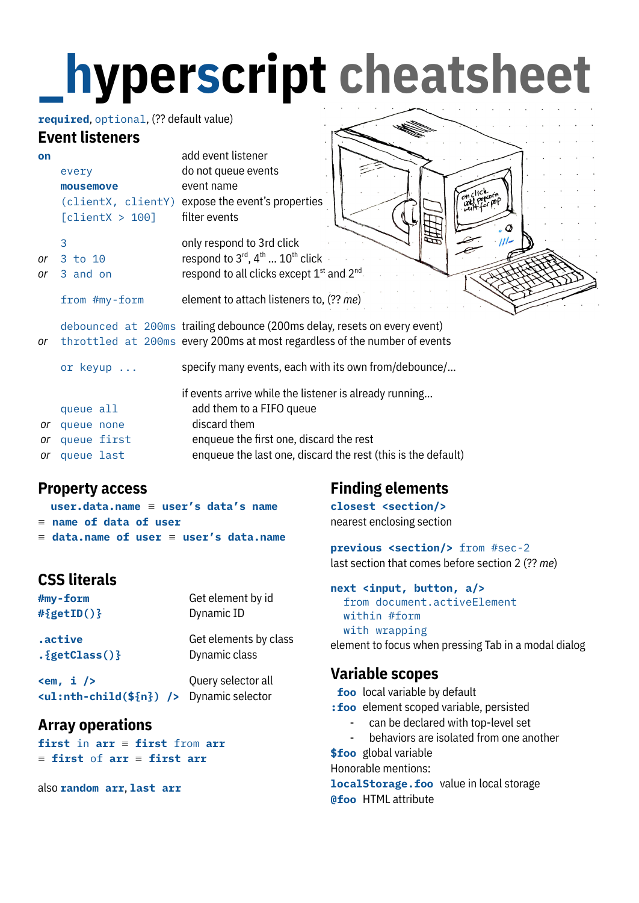# **\_ hyperscript cheatsheet**

#### **required**, optional, (?? default value)

#### **Event listeners**

|    | EVENI USIENEFS  |                                                                           |
|----|-----------------|---------------------------------------------------------------------------|
| on |                 | add event listener                                                        |
|    | every           | do not queue events                                                       |
|    | mousemove       | event name                                                                |
|    |                 | (clientX, clientY) expose the event's properties                          |
|    | [clientX > 100] | filter events                                                             |
|    | 3               | only respond to 3rd click                                                 |
| or | 3 to 10         | respond to $3^{\text{rd}}$ , $4^{\text{th}}$ $10^{\text{th}}$ click       |
| or | 3 and on        | respond to all clicks except 1 <sup>st</sup> and 2 <sup>nd</sup> .        |
|    | from #my-form   | element to attach listeners to, (?? me)                                   |
|    |                 | debounced at 200ms trailing debounce (200ms delay, resets on every event) |
| or |                 | throttled at 200ms every 200ms at most regardless of the number of events |
|    | or keyup        | specify many events, each with its own from/debounce/                     |
|    |                 | if events arrive while the listener is already running                    |
|    | queue all       | add them to a FIFO queue                                                  |
| or | queue none      | discard them                                                              |
| or | queue first     | enqueue the first one, discard the rest                                   |
|    |                 |                                                                           |

*or* queue last enqueue the last one, discard the rest (this is the default)

#### **Property access**

| user.data.name $\equiv$ user's data's name           |  |  |
|------------------------------------------------------|--|--|
| $\equiv$ name of data of user                        |  |  |
| $\equiv$ data.name of user $\equiv$ user's data.name |  |  |

### **CSS literals**

| #my-form                                                                           | Get element by id                      |
|------------------------------------------------------------------------------------|----------------------------------------|
| $#{getID()}$                                                                       | Dynamic ID                             |
| .active<br>$.\{getClass()\}$                                                       | Get elements by class<br>Dynamic class |
| $\epsilon$ m, i /><br><ul:nth-child(\${n})></ul:nth-child(\${n})> Dynamic selector | Query selector all                     |

#### **Array operations**

**first** in **arr** ≡ **first** from **arr** ≡ **first** of **arr** ≡ **first arr**

also **random arr**, **last arr**

## **Finding elements**

**closest <section/>** nearest enclosing section

**previous <section/>** from #sec-2 last section that comes before section 2 (?? *me*)

```
next <input, button, a/>
  from document.activeElement
  within #form
  with wrapping
element to focus when pressing Tab in a modal dialog
```
#### **Variable scopes**

**foo** local variable by default

- **:foo** element scoped variable, persisted
	- can be declared with top-level set
	- behaviors are isolated from one another

**\$foo** global variable

Honorable mentions:

**localStorage.foo** value in local storage **@foo** HTML attribute